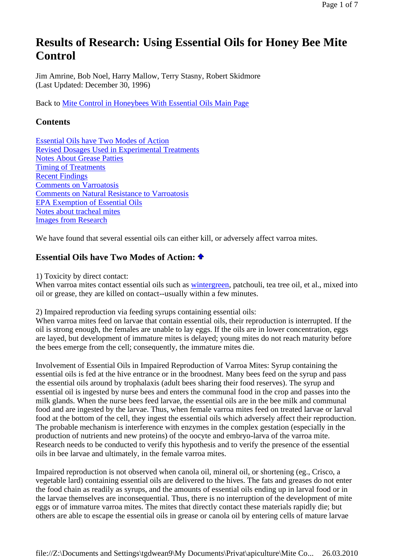# **Results of Research: Using Essential Oils for Honey Bee Mite Control**

Jim Amrine, Bob Noel, Harry Mallow, Terry Stasny, Robert Skidmore (Last Updated: December 30, 1996)

Back to Mite Control in Honeybees With Essential Oils Main Page

# **Contents**

Essential Oils have Two Modes of Action Revised Dosages Used in Experimental Treatments Notes About Grease Patties Timing of Treatments Recent Findings Comments on Varroatosis Comments on Natural Resistance to Varroatosis EPA Exemption of Essential Oils Notes about tracheal mites Images from Research

We have found that several essential oils can either kill, or adversely affect varroa mites.

# **Essential Oils have Two Modes of Action:**

1) Toxicity by direct contact:

When varroa mites contact essential oils such as wintergreen, patchouli, tea tree oil, et al., mixed into oil or grease, they are killed on contact--usually within a few minutes.

2) Impaired reproduction via feeding syrups containing essential oils:

When varroa mites feed on larvae that contain essential oils, their reproduction is interrupted. If the oil is strong enough, the females are unable to lay eggs. If the oils are in lower concentration, eggs are layed, but development of immature mites is delayed; young mites do not reach maturity before the bees emerge from the cell; consequently, the immature mites die.

Involvement of Essential Oils in Impaired Reproduction of Varroa Mites: Syrup containing the essential oils is fed at the hive entrance or in the broodnest. Many bees feed on the syrup and pass the essential oils around by trophalaxis (adult bees sharing their food reserves). The syrup and essential oil is ingested by nurse bees and enters the communal food in the crop and passes into the milk glands. When the nurse bees feed larvae, the essential oils are in the bee milk and communal food and are ingested by the larvae. Thus, when female varroa mites feed on treated larvae or larval food at the bottom of the cell, they ingest the essential oils which adversely affect their reproduction. The probable mechanism is interference with enzymes in the complex gestation (especially in the production of nutrients and new proteins) of the oocyte and embryo-larva of the varroa mite. Research needs to be conducted to verify this hypothesis and to verify the presence of the essential oils in bee larvae and ultimately, in the female varroa mites.

Impaired reproduction is not observed when canola oil, mineral oil, or shortening (eg., Crisco, a vegetable lard) containing essential oils are delivered to the hives. The fats and greases do not enter the food chain as readily as syrups, and the amounts of essential oils ending up in larval food or in the larvae themselves are inconsequential. Thus, there is no interruption of the development of mite eggs or of immature varroa mites. The mites that directly contact these materials rapidly die; but others are able to escape the essential oils in grease or canola oil by entering cells of mature larvae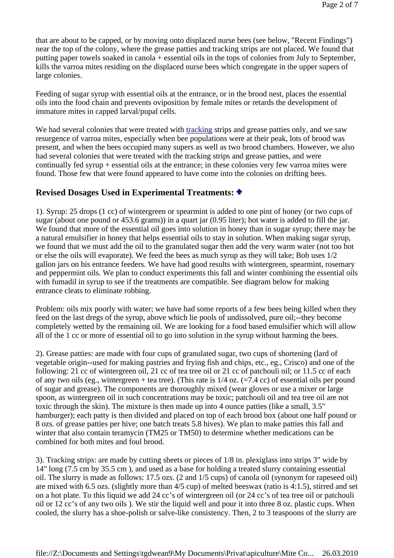that are about to be capped, or by moving onto displaced nurse bees (see below, "Recent Findings") near the top of the colony, where the grease patties and tracking strips are not placed. We found that putting paper towels soaked in canola + essential oils in the tops of colonies from July to September, kills the varroa mites residing on the displaced nurse bees which congregate in the upper supers of large colonies.

Feeding of sugar syrup with essential oils at the entrance, or in the brood nest, places the essential oils into the food chain and prevents oviposition by female mites or retards the development of immature mites in capped larval/pupal cells.

We had several colonies that were treated with tracking strips and grease patties only, and we saw resurgence of varroa mites, especially when bee populations were at their peak, lots of brood was present, and when the bees occupied many supers as well as two brood chambers. However, we also had several colonies that were treated with the tracking strips and grease patties, and were continually fed syrup + essential oils at the entrance; in these colonies very few varroa mites were found. Those few that were found appeared to have come into the colonies on drifting bees.

# **Revised Dosages Used in Experimental Treatments:**

1). Syrup: 25 drops (1 cc) of wintergreen or spearmint is added to one pint of honey (or two cups of sugar (about one pound or 453.6 grams)) in a quart jar (0.95 liter); hot water is added to fill the jar. We found that more of the essential oil goes into solution in honey than in sugar syrup; there may be a natural emulsifier in honey that helps essential oils to stay in solution. When making sugar syrup, we found that we must add the oil to the granulated sugar then add the very warm water (not too hot or else the oils will evaporate). We feed the bees as much syrup as they will take; Bob uses 1/2 gallon jars on his entrance feeders. We have had good results with wintergreen, spearmint, rosemary and peppermint oils. We plan to conduct experiments this fall and winter combining the essential oils with fumadil in syrup to see if the treatments are compatible. See diagram below for making entrance cleats to eliminate robbing.

Problem: oils mix poorly with water; we have had some reports of a few bees being killed when they feed on the last dregs of the syrup, above which lie pools of undissolved, pure oil;--they become completely wetted by the remaining oil. We are looking for a food based emulsifier which will allow all of the 1 cc or more of essential oil to go into solution in the syrup without harming the bees.

2). Grease patties: are made with four cups of granulated sugar, two cups of shortening (lard of vegetable origin--used for making pastries and frying fish and chips, etc., eg., Crisco) and one of the following: 21 cc of wintergreen oil, 21 cc of tea tree oil or 21 cc of patchouli oil; or 11.5 cc of each of any two oils (eg., wintergreen + tea tree). (This rate is  $1/4$  oz. (=7.4 cc) of essential oils per pound of sugar and grease). The components are thoroughly mixed (wear gloves or use a mixer or large spoon, as wintergreen oil in such concentrations may be toxic; patchouli oil and tea tree oil are not toxic through the skin). The mixture is then made up into 4 ounce patties (like a small, 3.5" hamburger); each patty is then divided and placed on top of each brood box (about one half pound or 8 ozs. of grease patties per hive; one batch treats 5.8 hives). We plan to make patties this fall and winter that also contain teramycin (TM25 or TM50) to determine whether medications can be combined for both mites and foul brood.

3). Tracking strips: are made by cutting sheets or pieces of 1/8 in. plexiglass into strips 3" wide by 14" long (7.5 cm by 35.5 cm ), and used as a base for holding a treated slurry containing essential oil. The slurry is made as follows: 17.5 ozs. (2 and 1/5 cups) of canola oil (synonym for rapeseed oil) are mixed with 6.5 ozs. (slightly more than 4/5 cup) of melted beeswax (ratio is 4:1.5), stirred and set on a hot plate. To this liquid we add 24 cc's of wintergreen oil (or 24 cc's of tea tree oil or patchouli oil or 12 cc's of any two oils ). We stir the liquid well and pour it into three 8 oz. plastic cups. When cooled, the slurry has a shoe-polish or salve-like consistency. Then, 2 to 3 teaspoons of the slurry are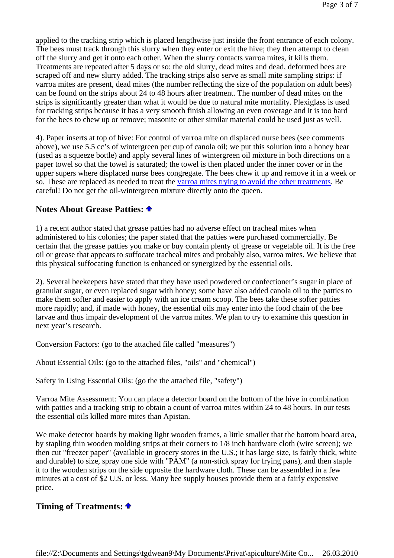applied to the tracking strip which is placed lengthwise just inside the front entrance of each colony. The bees must track through this slurry when they enter or exit the hive; they then attempt to clean off the slurry and get it onto each other. When the slurry contacts varroa mites, it kills them. Treatments are repeated after 5 days or so: the old slurry, dead mites and dead, deformed bees are scraped off and new slurry added. The tracking strips also serve as small mite sampling strips: if varroa mites are present, dead mites (the number reflecting the size of the population on adult bees) can be found on the strips about 24 to 48 hours after treatment. The number of dead mites on the strips is significantly greater than what it would be due to natural mite mortality. Plexiglass is used for tracking strips because it has a very smooth finish allowing an even coverage and it is too hard for the bees to chew up or remove; masonite or other similar material could be used just as well.

4). Paper inserts at top of hive: For control of varroa mite on displaced nurse bees (see comments above), we use 5.5 cc's of wintergreen per cup of canola oil; we put this solution into a honey bear (used as a squeeze bottle) and apply several lines of wintergreen oil mixture in both directions on a paper towel so that the towel is saturated; the towel is then placed under the inner cover or in the upper supers where displaced nurse bees congregate. The bees chew it up and remove it in a week or so. These are replaced as needed to treat the varroa mites trying to avoid the other treatments. Be careful! Do not get the oil-wintergreen mixture directly onto the queen.

#### **Notes About Grease Patties:**

1) a recent author stated that grease patties had no adverse effect on tracheal mites when administered to his colonies; the paper stated that the patties were purchased commercially. Be certain that the grease patties you make or buy contain plenty of grease or vegetable oil. It is the free oil or grease that appears to suffocate tracheal mites and probably also, varroa mites. We believe that this physical suffocating function is enhanced or synergized by the essential oils.

2). Several beekeepers have stated that they have used powdered or confectioner's sugar in place of granular sugar, or even replaced sugar with honey; some have also added canola oil to the patties to make them softer and easier to apply with an ice cream scoop. The bees take these softer patties more rapidly; and, if made with honey, the essential oils may enter into the food chain of the bee larvae and thus impair development of the varroa mites. We plan to try to examine this question in next year's research.

Conversion Factors: (go to the attached file called "measures")

About Essential Oils: (go to the attached files, "oils" and "chemical")

Safety in Using Essential Oils: (go the the attached file, "safety")

Varroa Mite Assessment: You can place a detector board on the bottom of the hive in combination with patties and a tracking strip to obtain a count of varroa mites within 24 to 48 hours. In our tests the essential oils killed more mites than Apistan.

We make detector boards by making light wooden frames, a little smaller that the bottom board area, by stapling thin wooden molding strips at their corners to 1/8 inch hardware cloth (wire screen); we then cut "freezer paper" (available in grocery stores in the U.S.; it has large size, is fairly thick, white and durable) to size, spray one side with "PAM" (a non-stick spray for frying pans), and then staple it to the wooden strips on the side opposite the hardware cloth. These can be assembled in a few minutes at a cost of \$2 U.S. or less. Many bee supply houses provide them at a fairly expensive price.

#### **Timing of Treatments:**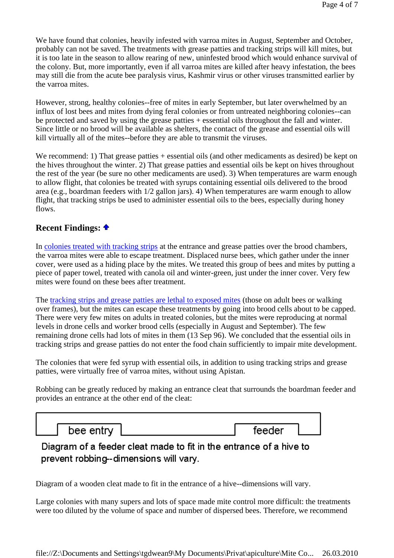We have found that colonies, heavily infested with varroa mites in August, September and October, probably can not be saved. The treatments with grease patties and tracking strips will kill mites, but it is too late in the season to allow rearing of new, uninfested brood which would enhance survival of the colony. But, more importantly, even if all varroa mites are killed after heavy infestation, the bees may still die from the acute bee paralysis virus, Kashmir virus or other viruses transmitted earlier by the varroa mites.

However, strong, healthy colonies--free of mites in early September, but later overwhelmed by an influx of lost bees and mites from dying feral colonies or from untreated neighboring colonies--can be protected and saved by using the grease patties + essential oils throughout the fall and winter. Since little or no brood will be available as shelters, the contact of the grease and essential oils will kill virtually all of the mites--before they are able to transmit the viruses.

We recommend: 1) That grease patties + essential oils (and other medicaments as desired) be kept on the hives throughout the winter. 2) That grease patties and essential oils be kept on hives throughout the rest of the year (be sure no other medicaments are used). 3) When temperatures are warm enough to allow flight, that colonies be treated with syrups containing essential oils delivered to the brood area (e.g., boardman feeders with 1/2 gallon jars). 4) When temperatures are warm enough to allow flight, that tracking strips be used to administer essential oils to the bees, especially during honey flows.

# **Recent Findings:**

In colonies treated with tracking strips at the entrance and grease patties over the brood chambers, the varroa mites were able to escape treatment. Displaced nurse bees, which gather under the inner cover, were used as a hiding place by the mites. We treated this group of bees and mites by putting a piece of paper towel, treated with canola oil and winter-green, just under the inner cover. Very few mites were found on these bees after treatment.

The tracking strips and grease patties are lethal to exposed mites (those on adult bees or walking over frames), but the mites can escape these treatments by going into brood cells about to be capped. There were very few mites on adults in treated colonies, but the mites were reproducing at normal levels in drone cells and worker brood cells (especially in August and September). The few remaining drone cells had lots of mites in them (13 Sep 96). We concluded that the essential oils in tracking strips and grease patties do not enter the food chain sufficiently to impair mite development.

The colonies that were fed syrup with essential oils, in addition to using tracking strips and grease patties, were virtually free of varroa mites, without using Apistan.

Robbing can be greatly reduced by making an entrance cleat that surrounds the boardman feeder and provides an entrance at the other end of the cleat:

bee entry

feeder

# Diagram of a feeder cleat made to fit in the entrance of a hive to prevent robbing--dimensions will vary.

Diagram of a wooden cleat made to fit in the entrance of a hive--dimensions will vary.

Large colonies with many supers and lots of space made mite control more difficult: the treatments were too diluted by the volume of space and number of dispersed bees. Therefore, we recommend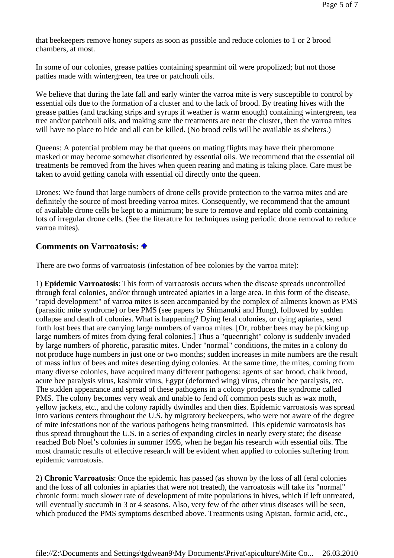that beekeepers remove honey supers as soon as possible and reduce colonies to 1 or 2 brood chambers, at most.

In some of our colonies, grease patties containing spearmint oil were propolized; but not those patties made with wintergreen, tea tree or patchouli oils.

We believe that during the late fall and early winter the varroa mite is very susceptible to control by essential oils due to the formation of a cluster and to the lack of brood. By treating hives with the grease patties (and tracking strips and syrups if weather is warm enough) containing wintergreen, tea tree and/or patchouli oils, and making sure the treatments are near the cluster, then the varroa mites will have no place to hide and all can be killed. (No brood cells will be available as shelters.)

Queens: A potential problem may be that queens on mating flights may have their pheromone masked or may become somewhat disoriented by essential oils. We recommend that the essential oil treatments be removed from the hives when queen rearing and mating is taking place. Care must be taken to avoid getting canola with essential oil directly onto the queen.

Drones: We found that large numbers of drone cells provide protection to the varroa mites and are definitely the source of most breeding varroa mites. Consequently, we recommend that the amount of available drone cells be kept to a minimum; be sure to remove and replace old comb containing lots of irregular drone cells. (See the literature for techniques using periodic drone removal to reduce varroa mites).

#### **Comments on Varroatosis:**

There are two forms of varroatosis (infestation of bee colonies by the varroa mite):

1) **Epidemic Varroatosis**: This form of varroatosis occurs when the disease spreads uncontrolled through feral colonies, and/or through untreated apiaries in a large area. In this form of the disease, "rapid development" of varroa mites is seen accompanied by the complex of ailments known as PMS (parasitic mite syndrome) or bee PMS (see papers by Shimanuki and Hung), followed by sudden collapse and death of colonies. What is happening? Dying feral colonies, or dying apiaries, send forth lost bees that are carrying large numbers of varroa mites. [Or, robber bees may be picking up large numbers of mites from dying feral colonies.] Thus a "queenright" colony is suddenly invaded by large numbers of phoretic, parasitic mites. Under "normal" conditions, the mites in a colony do not produce huge numbers in just one or two months; sudden increases in mite numbers are the result of mass influx of bees and mites deserting dying colonies. At the same time, the mites, coming from many diverse colonies, have acquired many different pathogens: agents of sac brood, chalk brood, acute bee paralysis virus, kashmir virus, Egypt (deformed wing) virus, chronic bee paralysis, etc. The sudden appearance and spread of these pathogens in a colony produces the syndrome called PMS. The colony becomes very weak and unable to fend off common pests such as wax moth, yellow jackets, etc., and the colony rapidly dwindles and then dies. Epidemic varroatosis was spread into various centers throughout the U.S. by migratory beekeepers, who were not aware of the degree of mite infestations nor of the various pathogens being transmitted. This epidemic varroatosis has thus spread throughout the U.S. in a series of expanding circles in nearly every state; the disease reached Bob Noel's colonies in summer 1995, when he began his research with essential oils. The most dramatic results of effective research will be evident when applied to colonies suffering from epidemic varroatosis.

2) **Chronic Varroatosis**: Once the epidemic has passed (as shown by the loss of all feral colonies and the loss of all colonies in apiaries that were not treated), the varroatosis will take its "normal" chronic form: much slower rate of development of mite populations in hives, which if left untreated, will eventually succumb in 3 or 4 seasons. Also, very few of the other virus diseases will be seen, which produced the PMS symptoms described above. Treatments using Apistan, formic acid, etc.,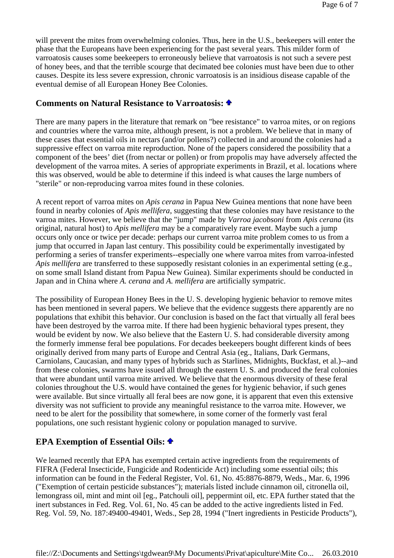will prevent the mites from overwhelming colonies. Thus, here in the U.S., beekeepers will enter the phase that the Europeans have been experiencing for the past several years. This milder form of varroatosis causes some beekeepers to erroneously believe that varroatosis is not such a severe pest of honey bees, and that the terrible scourge that decimated bee colonies must have been due to other causes. Despite its less severe expression, chronic varroatosis is an insidious disease capable of the eventual demise of all European Honey Bee Colonies.

#### **Comments on Natural Resistance to Varroatosis:**

There are many papers in the literature that remark on "bee resistance" to varroa mites, or on regions and countries where the varroa mite, although present, is not a problem. We believe that in many of these cases that essential oils in nectars (and/or pollens?) collected in and around the colonies had a suppressive effect on varroa mite reproduction. None of the papers considered the possibility that a component of the bees' diet (from nectar or pollen) or from propolis may have adversely affected the development of the varroa mites. A series of appropriate experiments in Brazil, et al. locations where this was observed, would be able to determine if this indeed is what causes the large numbers of "sterile" or non-reproducing varroa mites found in these colonies.

A recent report of varroa mites on *Apis cerana* in Papua New Guinea mentions that none have been found in nearby colonies of *Apis mellifera*, suggesting that these colonies may have resistance to the varroa mites. However, we believe that the "jump" made by *Varroa jacobsoni* from *Apis cerana* (its original, natural host) to *Apis mellifera* may be a comparatively rare event. Maybe such a jump occurs only once or twice per decade: perhaps our current varroa mite problem comes to us from a jump that occurred in Japan last century. This possibility could be experimentally investigated by performing a series of transfer experiments--especially one where varroa mites from varroa-infested *Apis mellifera* are transferred to these supposedly resistant colonies in an experimental setting (e.g., on some small Island distant from Papua New Guinea). Similar experiments should be conducted in Japan and in China where *A. cerana* and *A. mellifera* are artificially sympatric.

The possibility of European Honey Bees in the U. S. developing hygienic behavior to remove mites has been mentioned in several papers. We believe that the evidence suggests there apparently are no populations that exhibit this behavior. Our conclusion is based on the fact that virtually all feral bees have been destroyed by the varroa mite. If there had been hygienic behavioral types present, they would be evident by now. We also believe that the Eastern U. S. had considerable diversity among the formerly immense feral bee populations. For decades beekeepers bought different kinds of bees originally derived from many parts of Europe and Central Asia (eg., Italians, Dark Germans, Carniolans, Caucasian, and many types of hybrids such as Starlines, Midnights, Buckfast, et al.)--and from these colonies, swarms have issued all through the eastern U. S. and produced the feral colonies that were abundant until varroa mite arrived. We believe that the enormous diversity of these feral colonies throughout the U.S. would have contained the genes for hygienic behavior, if such genes were available. But since virtually all feral bees are now gone, it is apparent that even this extensive diversity was not sufficient to provide any meaningful resistance to the varroa mite. However, we need to be alert for the possibility that somewhere, in some corner of the formerly vast feral populations, one such resistant hygienic colony or population managed to survive.

# **EPA Exemption of Essential Oils:**

We learned recently that EPA has exempted certain active ingredients from the requirements of FIFRA (Federal Insecticide, Fungicide and Rodenticide Act) including some essential oils; this information can be found in the Federal Register, Vol. 61, No. 45:8876-8879, Weds., Mar. 6, 1996 ("Exemption of certain pesticide substances"); materials listed include cinnamon oil, citronella oil, lemongrass oil, mint and mint oil [eg., Patchouli oil], peppermint oil, etc. EPA further stated that the inert substances in Fed. Reg. Vol. 61, No. 45 can be added to the active ingredients listed in Fed. Reg. Vol. 59, No. 187:49400-49401, Weds., Sep 28, 1994 ("Inert ingredients in Pesticide Products"),